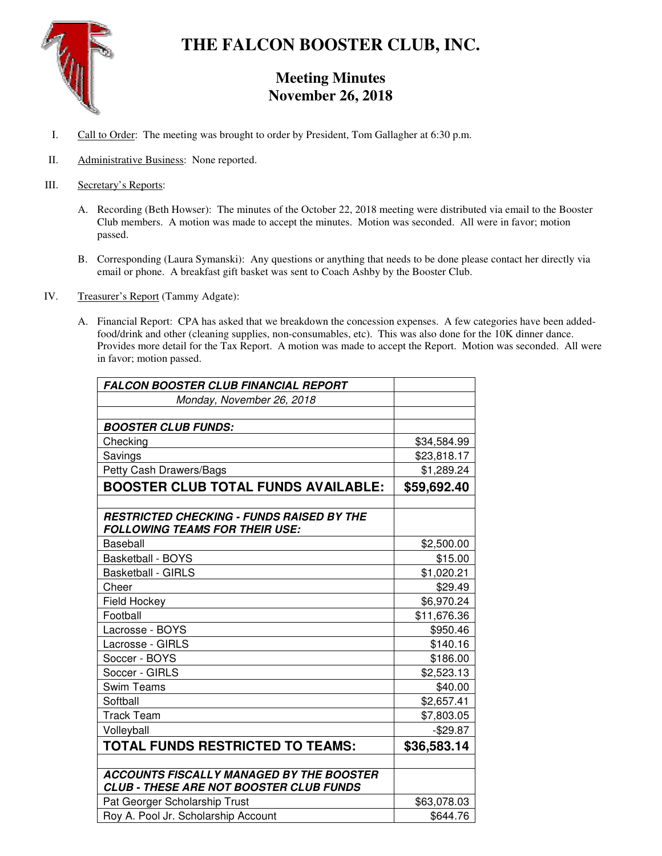

# **THE FALCON BOOSTER CLUB, INC.**

## **Meeting Minutes November 26, 2018**

- I. Call to Order: The meeting was brought to order by President, Tom Gallagher at 6:30 p.m.
- II. Administrative Business: None reported.
- III. Secretary's Reports:
	- A. Recording (Beth Howser): The minutes of the October 22, 2018 meeting were distributed via email to the Booster Club members. A motion was made to accept the minutes. Motion was seconded. All were in favor; motion passed.
	- B. Corresponding (Laura Symanski): Any questions or anything that needs to be done please contact her directly via email or phone. A breakfast gift basket was sent to Coach Ashby by the Booster Club.
- IV. Treasurer's Report (Tammy Adgate):
	- A. Financial Report: CPA has asked that we breakdown the concession expenses. A few categories have been addedfood/drink and other (cleaning supplies, non-consumables, etc). This was also done for the 10K dinner dance. Provides more detail for the Tax Report. A motion was made to accept the Report. Motion was seconded. All were in favor; motion passed.

| FALCON BOOSTER CLUB FINANCIAL REPORT                                                              |             |
|---------------------------------------------------------------------------------------------------|-------------|
| Monday, November 26, 2018                                                                         |             |
|                                                                                                   |             |
| <b>BOOSTER CLUB FUNDS:</b>                                                                        |             |
| Checking                                                                                          | \$34,584.99 |
| Savings                                                                                           | \$23,818.17 |
| Petty Cash Drawers/Bags                                                                           | \$1,289.24  |
| <b>BOOSTER CLUB TOTAL FUNDS AVAILABLE:</b>                                                        | \$59,692.40 |
|                                                                                                   |             |
| <b>RESTRICTED CHECKING - FUNDS RAISED BY THE</b><br><b>FOLLOWING TEAMS FOR THEIR USE:</b>         |             |
| Baseball                                                                                          | \$2,500.00  |
| <b>Basketball - BOYS</b>                                                                          | \$15.00     |
| <b>Basketball - GIRLS</b>                                                                         | \$1,020.21  |
| Cheer                                                                                             | \$29.49     |
| <b>Field Hockey</b>                                                                               | \$6,970.24  |
| Football                                                                                          | \$11,676.36 |
| Lacrosse - BOYS                                                                                   | \$950.46    |
| Lacrosse - GIRLS                                                                                  | \$140.16    |
| Soccer - BOYS                                                                                     | \$186.00    |
| Soccer - GIRLS                                                                                    | \$2,523.13  |
| <b>Swim Teams</b>                                                                                 | \$40.00     |
| Softball                                                                                          | \$2,657.41  |
| <b>Track Team</b>                                                                                 | \$7,803.05  |
| Volleyball                                                                                        | $-$29.87$   |
| <b>TOTAL FUNDS RESTRICTED TO TEAMS:</b>                                                           | \$36,583.14 |
|                                                                                                   |             |
| <b>ACCOUNTS FISCALLY MANAGED BY THE BOOSTER</b><br><b>CLUB - THESE ARE NOT BOOSTER CLUB FUNDS</b> |             |
| Pat Georger Scholarship Trust                                                                     | \$63,078.03 |
| Roy A. Pool Jr. Scholarship Account                                                               | \$644.76    |